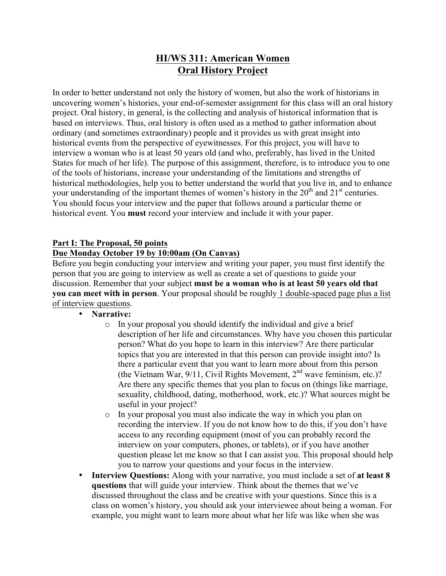# **HI/WS 311: American Women Oral History Project**

In order to better understand not only the history of women, but also the work of historians in uncovering women's histories, your end-of-semester assignment for this class will an oral history project. Oral history, in general, is the collecting and analysis of historical information that is based on interviews. Thus, oral history is often used as a method to gather information about ordinary (and sometimes extraordinary) people and it provides us with great insight into historical events from the perspective of eyewitnesses. For this project, you will have to interview a woman who is at least 50 years old (and who, preferably, has lived in the United States for much of her life). The purpose of this assignment, therefore, is to introduce you to one of the tools of historians, increase your understanding of the limitations and strengths of historical methodologies, help you to better understand the world that you live in, and to enhance your understanding of the important themes of women's history in the  $20<sup>th</sup>$  and  $21<sup>st</sup>$  centuries. You should focus your interview and the paper that follows around a particular theme or historical event. You **must** record your interview and include it with your paper.

#### **Part I: The Proposal, 50 points**

### **Due Monday October 19 by 10:00am (On Canvas)**

Before you begin conducting your interview and writing your paper, you must first identify the person that you are going to interview as well as create a set of questions to guide your discussion. Remember that your subject **must be a woman who is at least 50 years old that you can meet with in person**. Your proposal should be roughly 1 double-spaced page plus a list of interview questions.

- **Narrative:** 
	- o In your proposal you should identify the individual and give a brief description of her life and circumstances. Why have you chosen this particular person? What do you hope to learn in this interview? Are there particular topics that you are interested in that this person can provide insight into? Is there a particular event that you want to learn more about from this person (the Vietnam War, 9/11, Civil Rights Movement, 2<sup>nd</sup> wave feminism, etc.)? Are there any specific themes that you plan to focus on (things like marriage, sexuality, childhood, dating, motherhood, work, etc.)? What sources might be useful in your project?
	- o In your proposal you must also indicate the way in which you plan on recording the interview. If you do not know how to do this, if you don't have access to any recording equipment (most of you can probably record the interview on your computers, phones, or tablets), or if you have another question please let me know so that I can assist you. This proposal should help you to narrow your questions and your focus in the interview.
- **Interview Questions:** Along with your narrative, you must include a set of **at least 8 questions** that will guide your interview. Think about the themes that we've discussed throughout the class and be creative with your questions. Since this is a class on women's history, you should ask your interviewee about being a woman. For example, you might want to learn more about what her life was like when she was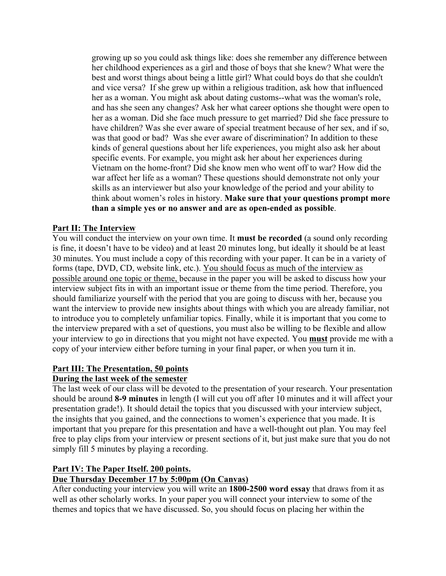growing up so you could ask things like: does she remember any difference between her childhood experiences as a girl and those of boys that she knew? What were the best and worst things about being a little girl? What could boys do that she couldn't and vice versa? If she grew up within a religious tradition, ask how that influenced her as a woman. You might ask about dating customs--what was the woman's role, and has she seen any changes? Ask her what career options she thought were open to her as a woman. Did she face much pressure to get married? Did she face pressure to have children? Was she ever aware of special treatment because of her sex, and if so, was that good or bad? Was she ever aware of discrimination? In addition to these kinds of general questions about her life experiences, you might also ask her about specific events. For example, you might ask her about her experiences during Vietnam on the home-front? Did she know men who went off to war? How did the war affect her life as a woman? These questions should demonstrate not only your skills as an interviewer but also your knowledge of the period and your ability to think about women's roles in history. **Make sure that your questions prompt more than a simple yes or no answer and are as open-ended as possible**.

### **Part II: The Interview**

You will conduct the interview on your own time. It **must be recorded** (a sound only recording is fine, it doesn't have to be video) and at least 20 minutes long, but ideally it should be at least 30 minutes. You must include a copy of this recording with your paper. It can be in a variety of forms (tape, DVD, CD, website link, etc.). You should focus as much of the interview as possible around one topic or theme, because in the paper you will be asked to discuss how your interview subject fits in with an important issue or theme from the time period. Therefore, you should familiarize yourself with the period that you are going to discuss with her, because you want the interview to provide new insights about things with which you are already familiar, not to introduce you to completely unfamiliar topics. Finally, while it is important that you come to the interview prepared with a set of questions, you must also be willing to be flexible and allow your interview to go in directions that you might not have expected. You **must** provide me with a copy of your interview either before turning in your final paper, or when you turn it in.

### **Part III: The Presentation, 50 points**

### **During the last week of the semester**

The last week of our class will be devoted to the presentation of your research. Your presentation should be around **8-9 minutes** in length (I will cut you off after 10 minutes and it will affect your presentation grade!). It should detail the topics that you discussed with your interview subject, the insights that you gained, and the connections to women's experience that you made. It is important that you prepare for this presentation and have a well-thought out plan. You may feel free to play clips from your interview or present sections of it, but just make sure that you do not simply fill 5 minutes by playing a recording.

## **Part IV: The Paper Itself. 200 points.**

### **Due Thursday December 17 by 5:00pm (On Canvas)**

After conducting your interview you will write an **1800-2500 word essay** that draws from it as well as other scholarly works. In your paper you will connect your interview to some of the themes and topics that we have discussed. So, you should focus on placing her within the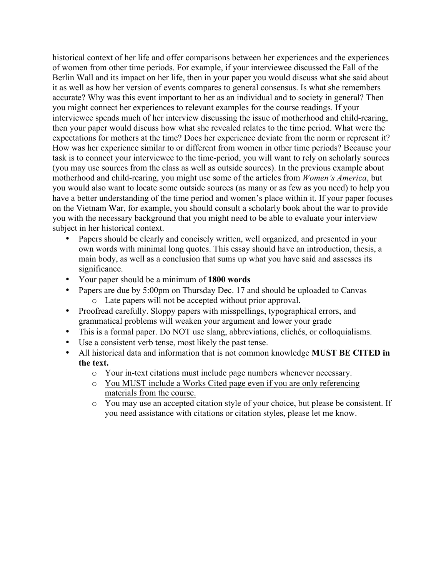historical context of her life and offer comparisons between her experiences and the experiences of women from other time periods. For example, if your interviewee discussed the Fall of the Berlin Wall and its impact on her life, then in your paper you would discuss what she said about it as well as how her version of events compares to general consensus. Is what she remembers accurate? Why was this event important to her as an individual and to society in general? Then you might connect her experiences to relevant examples for the course readings. If your interviewee spends much of her interview discussing the issue of motherhood and child-rearing, then your paper would discuss how what she revealed relates to the time period. What were the expectations for mothers at the time? Does her experience deviate from the norm or represent it? How was her experience similar to or different from women in other time periods? Because your task is to connect your interviewee to the time-period, you will want to rely on scholarly sources (you may use sources from the class as well as outside sources). In the previous example about motherhood and child-rearing, you might use some of the articles from *Women's America*, but you would also want to locate some outside sources (as many or as few as you need) to help you have a better understanding of the time period and women's place within it. If your paper focuses on the Vietnam War, for example, you should consult a scholarly book about the war to provide you with the necessary background that you might need to be able to evaluate your interview subject in her historical context.

- Papers should be clearly and concisely written, well organized, and presented in your own words with minimal long quotes. This essay should have an introduction, thesis, a main body, as well as a conclusion that sums up what you have said and assesses its significance.
- Your paper should be a minimum of **1800 words**
- Papers are due by 5:00pm on Thursday Dec. 17 and should be uploaded to Canvas o Late papers will not be accepted without prior approval.
- Proofread carefully. Sloppy papers with misspellings, typographical errors, and grammatical problems will weaken your argument and lower your grade
- This is a formal paper. Do NOT use slang, abbreviations, clichés, or colloquialisms.
- Use a consistent verb tense, most likely the past tense.
- All historical data and information that is not common knowledge **MUST BE CITED in the text.** 
	- o Your in-text citations must include page numbers whenever necessary.
	- o You MUST include a Works Cited page even if you are only referencing materials from the course.
	- o You may use an accepted citation style of your choice, but please be consistent. If you need assistance with citations or citation styles, please let me know.